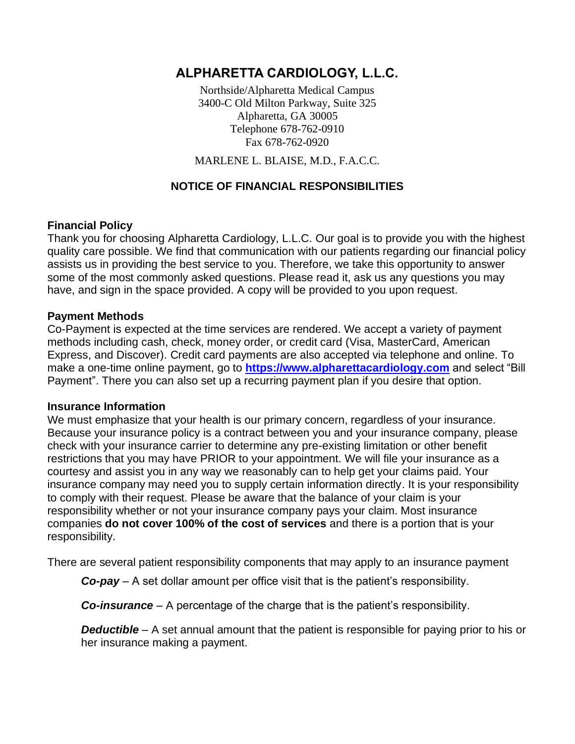# **ALPHARETTA CARDIOLOGY, L.L.C.**

Northside/Alpharetta Medical Campus 3400-C Old Milton Parkway, Suite 325 Alpharetta, GA 30005 Telephone 678-762-0910 Fax 678-762-0920

#### MARLENE L. BLAISE, M.D., F.A.C.C.

#### **NOTICE OF FINANCIAL RESPONSIBILITIES**

#### **Financial Policy**

Thank you for choosing Alpharetta Cardiology, L.L.C. Our goal is to provide you with the highest quality care possible. We find that communication with our patients regarding our financial policy assists us in providing the best service to you. Therefore, we take this opportunity to answer some of the most commonly asked questions. Please read it, ask us any questions you may have, and sign in the space provided. A copy will be provided to you upon request.

#### **Payment Methods**

Co-Payment is expected at the time services are rendered. We accept a variety of payment methods including cash, check, money order, or credit card (Visa, MasterCard, American Express, and Discover). Credit card payments are also accepted via telephone and online. To make a one-time online payment, go to **[https://www.alpharettacardiology.com](https://www.alpharettacardiology.com/)** and select "Bill Payment". There you can also set up a recurring payment plan if you desire that option.

#### **Insurance Information**

We must emphasize that your health is our primary concern, regardless of your insurance. Because your insurance policy is a contract between you and your insurance company, please check with your insurance carrier to determine any pre-existing limitation or other benefit restrictions that you may have PRIOR to your appointment. We will file your insurance as a courtesy and assist you in any way we reasonably can to help get your claims paid. Your insurance company may need you to supply certain information directly. It is your responsibility to comply with their request. Please be aware that the balance of your claim is your responsibility whether or not your insurance company pays your claim. Most insurance companies **do not cover 100% of the cost of services** and there is a portion that is your responsibility.

There are several patient responsibility components that may apply to an insurance payment

*Co-pay –* A set dollar amount per office visit that is the patient's responsibility.

*Co-insurance –* A percentage of the charge that is the patient's responsibility.

*Deductible –* A set annual amount that the patient is responsible for paying prior to his or her insurance making a payment.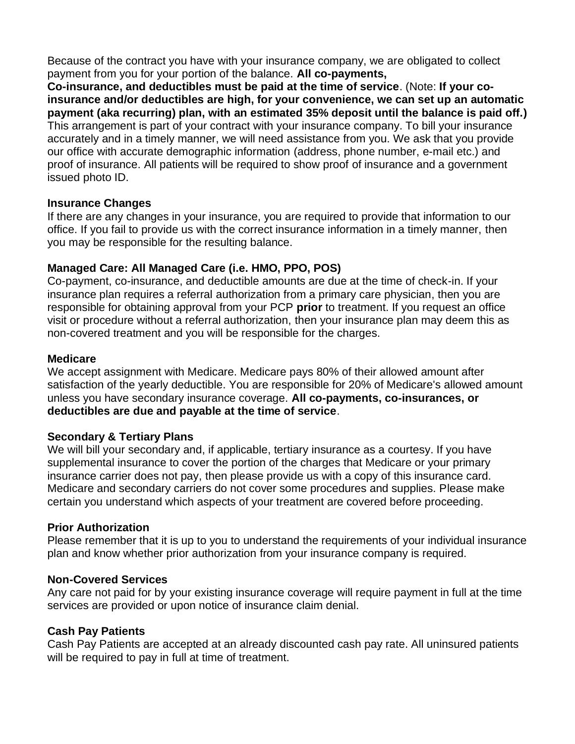Because of the contract you have with your insurance company, we are obligated to collect payment from you for your portion of the balance. **All co-payments,** 

**Co-insurance, and deductibles must be paid at the time of service**. (Note: **If your coinsurance and/or deductibles are high, for your convenience, we can set up an automatic payment (aka recurring) plan, with an estimated 35% deposit until the balance is paid off.)** This arrangement is part of your contract with your insurance company. To bill your insurance accurately and in a timely manner, we will need assistance from you. We ask that you provide our office with accurate demographic information (address, phone number, e-mail etc.) and proof of insurance. All patients will be required to show proof of insurance and a government issued photo ID.

#### **Insurance Changes**

If there are any changes in your insurance, you are required to provide that information to our office. If you fail to provide us with the correct insurance information in a timely manner, then you may be responsible for the resulting balance.

### **Managed Care: All Managed Care (i.e. HMO, PPO, POS)**

Co-payment, co-insurance, and deductible amounts are due at the time of check-in. If your insurance plan requires a referral authorization from a primary care physician, then you are responsible for obtaining approval from your PCP **prior** to treatment. If you request an office visit or procedure without a referral authorization, then your insurance plan may deem this as non-covered treatment and you will be responsible for the charges.

#### **Medicare**

We accept assignment with Medicare. Medicare pays 80% of their allowed amount after satisfaction of the yearly deductible. You are responsible for 20% of Medicare's allowed amount unless you have secondary insurance coverage. **All co-payments, co-insurances, or deductibles are due and payable at the time of service**.

### **Secondary & Tertiary Plans**

We will bill your secondary and, if applicable, tertiary insurance as a courtesy. If you have supplemental insurance to cover the portion of the charges that Medicare or your primary insurance carrier does not pay, then please provide us with a copy of this insurance card. Medicare and secondary carriers do not cover some procedures and supplies. Please make certain you understand which aspects of your treatment are covered before proceeding.

### **Prior Authorization**

Please remember that it is up to you to understand the requirements of your individual insurance plan and know whether prior authorization from your insurance company is required.

#### **Non-Covered Services**

Any care not paid for by your existing insurance coverage will require payment in full at the time services are provided or upon notice of insurance claim denial.

### **Cash Pay Patients**

Cash Pay Patients are accepted at an already discounted cash pay rate. All uninsured patients will be required to pay in full at time of treatment.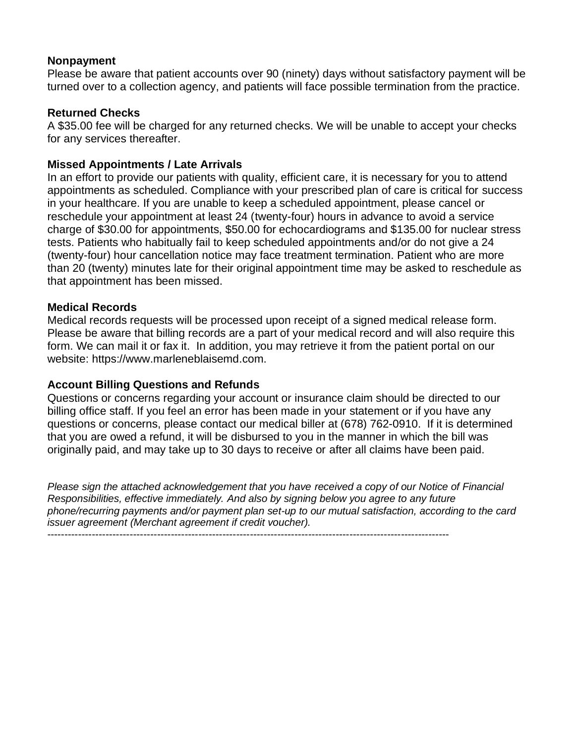#### **Nonpayment**

Please be aware that patient accounts over 90 (ninety) days without satisfactory payment will be turned over to a collection agency, and patients will face possible termination from the practice.

#### **Returned Checks**

A \$35.00 fee will be charged for any returned checks. We will be unable to accept your checks for any services thereafter.

### **Missed Appointments / Late Arrivals**

In an effort to provide our patients with quality, efficient care, it is necessary for you to attend appointments as scheduled. Compliance with your prescribed plan of care is critical for success in your healthcare. If you are unable to keep a scheduled appointment, please cancel or reschedule your appointment at least 24 (twenty-four) hours in advance to avoid a service charge of \$30.00 for appointments, \$50.00 for echocardiograms and \$135.00 for nuclear stress tests. Patients who habitually fail to keep scheduled appointments and/or do not give a 24 (twenty-four) hour cancellation notice may face treatment termination. Patient who are more than 20 (twenty) minutes late for their original appointment time may be asked to reschedule as that appointment has been missed.

#### **Medical Records**

Medical records requests will be processed upon receipt of a signed medical release form. Please be aware that billing records are a part of your medical record and will also require this form. We can mail it or fax it. In addition, you may retrieve it from the patient portal on our website: https://www.marleneblaisemd.com.

### **Account Billing Questions and Refunds**

Questions or concerns regarding your account or insurance claim should be directed to our billing office staff. If you feel an error has been made in your statement or if you have any questions or concerns, please contact our medical biller at (678) 762-0910. If it is determined that you are owed a refund, it will be disbursed to you in the manner in which the bill was originally paid, and may take up to 30 days to receive or after all claims have been paid.

*Please sign the attached acknowledgement that you have received a copy of our Notice of Financial Responsibilities, effective immediately. And also by signing below you agree to any future phone/recurring payments and/or payment plan set-up to our mutual satisfaction, according to the card issuer agreement (Merchant agreement if credit voucher).*  ---------------------------------------------------------------------------------------------------------------------